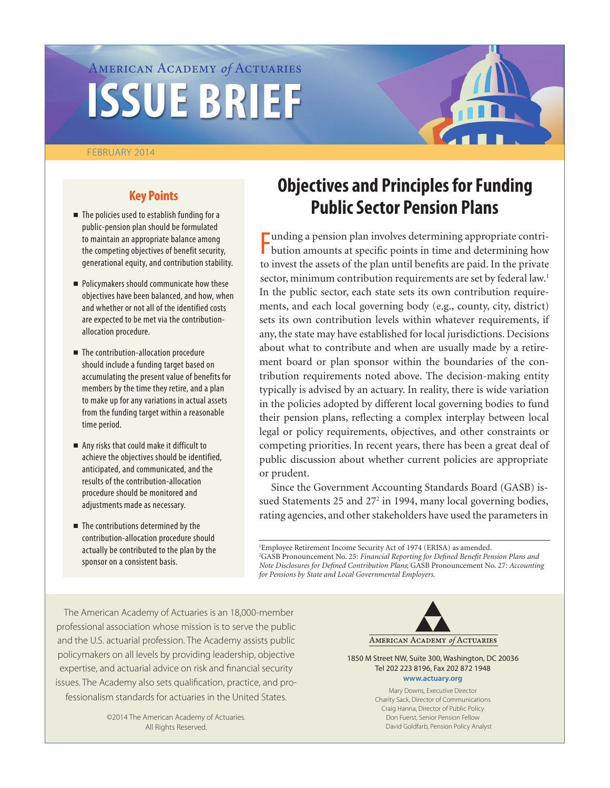# American Academy *of* Actuaries **ISSUE BRIEF**

#### February 2014



# **Key Points**

- $\blacksquare$  The policies used to establish funding for a public-pension plan should be formulated to maintain an appropriate balance among the competing objectives of benefit security, generational equity, and contribution stability.
- Policymakers should communicate how these objectives have been balanced, and how, when and whether or not all of the identified costs are expected to be met via the contributionallocation procedure.
- $\blacksquare$  The contribution-allocation procedure should include a funding target based on accumulating the present value of benefits for members by the time they retire, and a plan to make up for any variations in actual assets from the funding target within a reasonable time period.
- $\blacksquare$  Any risks that could make it difficult to achieve the objectives should be identified, anticipated, and communicated, and the results of the contribution-allocation procedure should be monitored and adjustments made as necessary.
- $\blacksquare$  The contributions determined by the contribution-allocation procedure should actually be contributed to the plan by the sponsor on a consistent basis.

# **Objectives and Principles for Funding Public Sector Pension Plans**

F bution amounts at specific points in time and determining how unding a pension plan involves determining appropriate contrito invest the assets of the plan until benefits are paid. In the private sector, minimum contribution requirements are set by federal law.<sup>1</sup> In the public sector, each state sets its own contribution requirements, and each local governing body (e.g., county, city, district) sets its own contribution levels within whatever requirements, if any, the state may have established for local jurisdictions. Decisions about what to contribute and when are usually made by a retirement board or plan sponsor within the boundaries of the contribution requirements noted above. The decision-making entity typically is advised by an actuary. In reality, there is wide variation in the policies adopted by different local governing bodies to fund their pension plans, reflecting a complex interplay between local legal or policy requirements, objectives, and other constraints or competing priorities. In recent years, there has been a great deal of public discussion about whether current policies are appropriate or prudent.

Since the Government Accounting Standards Board (GASB) issued Statements 25 and 27<sup>2</sup> in 1994, many local governing bodies, rating agencies, and other stakeholders have used the parameters in

1 Employee Retirement Income Security Act of 1974 (ERISA) as amended. 2 GASB Pronouncement No. 25: *Financial Reporting for Defined Benefit Pension Plans and Note Disclosures for Defined Contribution Plans*; GASB Pronouncement No. 27: *Accounting for Pensions by State and Local Governmental Employers*.

The American Academy of Actuaries is an 18,000-member professional association whose mission is to serve the public and the U.S. actuarial profession. The Academy assists public policymakers on all levels by providing leadership, objective expertise, and actuarial advice on risk and financial security issues. The Academy also sets qualification, practice, and professionalism standards for actuaries in the United States.

> ©2014 The American Academy of Actuaries. All Rights Reserved.



1850 M Street NW, Suite 300, Washington, DC 20036 Tel 202 223 8196, Fax 202 872 1948 **www.actuary.org**

> Mary Downs, Executive Director Charity Sack, Director of Communications Craig Hanna, Director of Public Policy Don Fuerst, Senior Pension Fellow David Goldfarb, Pension Policy Analyst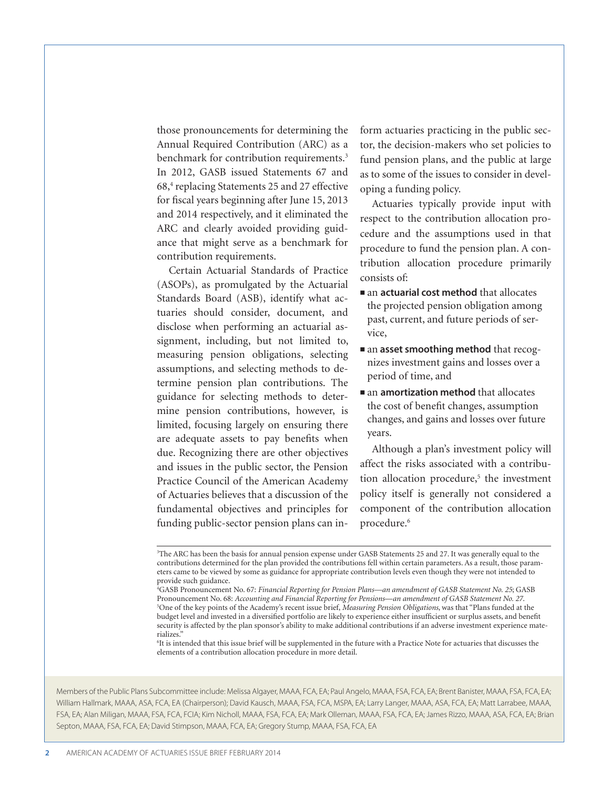those pronouncements for determining the Annual Required Contribution (ARC) as a benchmark for contribution requirements.<sup>3</sup> In 2012, GASB issued Statements 67 and 68,4 replacing Statements 25 and 27 effective for fiscal years beginning after June 15, 2013 and 2014 respectively, and it eliminated the ARC and clearly avoided providing guidance that might serve as a benchmark for contribution requirements.

Certain Actuarial Standards of Practice (ASOPs), as promulgated by the Actuarial Standards Board (ASB), identify what actuaries should consider, document, and disclose when performing an actuarial assignment, including, but not limited to, measuring pension obligations, selecting assumptions, and selecting methods to determine pension plan contributions. The guidance for selecting methods to determine pension contributions, however, is limited, focusing largely on ensuring there are adequate assets to pay benefits when due. Recognizing there are other objectives and issues in the public sector, the Pension Practice Council of the American Academy of Actuaries believes that a discussion of the fundamental objectives and principles for funding public-sector pension plans can inform actuaries practicing in the public sector, the decision-makers who set policies to fund pension plans, and the public at large as to some of the issues to consider in developing a funding policy.

Actuaries typically provide input with respect to the contribution allocation procedure and the assumptions used in that procedure to fund the pension plan. A contribution allocation procedure primarily consists of:

- **n** an **actuarial cost method** that allocates the projected pension obligation among past, current, and future periods of service,
- an **asset smoothing method** that recognizes investment gains and losses over a period of time, and
- $\blacksquare$  an **amortization method** that allocates the cost of benefit changes, assumption changes, and gains and losses over future years.

Although a plan's investment policy will affect the risks associated with a contribution allocation procedure,<sup>5</sup> the investment policy itself is generally not considered a component of the contribution allocation procedure.<sup>6</sup>

6 It is intended that this issue brief will be supplemented in the future with a Practice Note for actuaries that discusses the elements of a contribution allocation procedure in more detail.

Members of the Public Plans Subcommittee include: Melissa Algayer, MAAA, FCA, EA; Paul Angelo, MAAA, FSA, FCA, EA; Bent Banister, MAAA, FSA, FCA, EA; William Hallmark, MAAA, ASA, FCA, EA (Chairperson); David Kausch, MAAA, FSA, FCA, MSPA, EA; Larry Langer, MAAA, ASA, FCA, EA; Matt Larrabee, MAAA, FSA, EA; Alan Miligan, MAAA, FSA, FCA, FCIA; Kim Nicholl, MAAA, FSA, FCA, EA; Mark Olleman, MAAA, FSA, FCA, EA; James Rizzo, MAAA, ASA, FCA, EA; Brian Septon, MAAA, FSA, FCA, EA; David Stimpson, MAAA, FCA, EA; Gregory Stump, MAAA, FSA, FCA, EA

<sup>3</sup> The ARC has been the basis for annual pension expense under GASB Statements 25 and 27. It was generally equal to the contributions determined for the plan provided the contributions fell within certain parameters. As a result, those parameters came to be viewed by some as guidance for appropriate contribution levels even though they were not intended to provide such guidance.

<sup>4</sup> GASB Pronouncement No. 67: *Financial Reporting for Pension Plans—an amendment of GASB Statement No. 25*; GASB Pronouncement No. 68: *Accounting and Financial Reporting for Pensions*—*an amendment of GASB Statement No. 27*. 5 <sup>5</sup>One of the key points of the Academy's recent issue brief, *Measuring Pension Obligations*, was that "Plans funded at the budget level and invested in a diversified portfolio are likely to experience either insufficient or surplus assets, and benefit security is affected by the plan sponsor's ability to make additional contributions if an adverse investment experience materializes."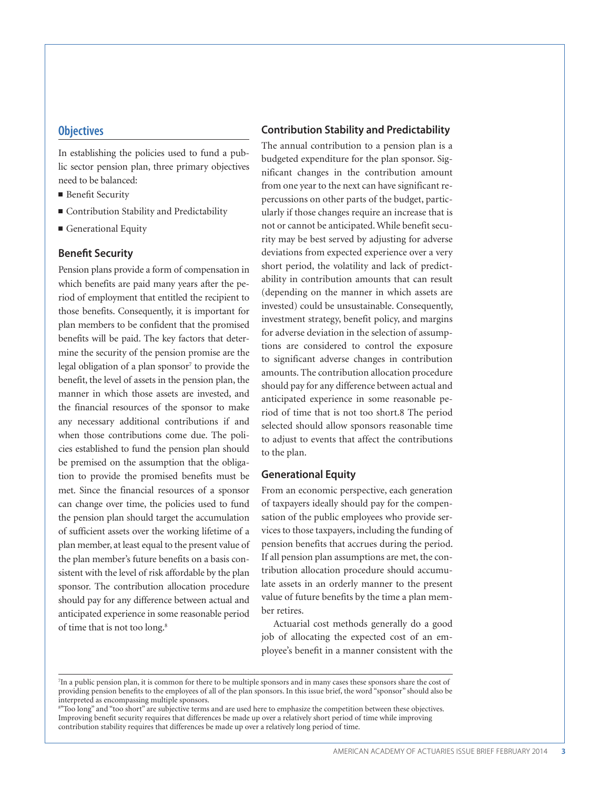#### **Objectives**

In establishing the policies used to fund a public sector pension plan, three primary objectives need to be balanced:

- $\blacksquare$  Benefit Security
- Contribution Stability and Predictability
- **Generational Equity**

#### **Benefit Security**

Pension plans provide a form of compensation in which benefits are paid many years after the period of employment that entitled the recipient to those benefits. Consequently, it is important for plan members to be confident that the promised benefits will be paid. The key factors that determine the security of the pension promise are the legal obligation of a plan sponsor<sup>7</sup> to provide the benefit, the level of assets in the pension plan, the manner in which those assets are invested, and the financial resources of the sponsor to make any necessary additional contributions if and when those contributions come due. The policies established to fund the pension plan should be premised on the assumption that the obligation to provide the promised benefits must be met. Since the financial resources of a sponsor can change over time, the policies used to fund the pension plan should target the accumulation of sufficient assets over the working lifetime of a plan member, at least equal to the present value of the plan member's future benefits on a basis consistent with the level of risk affordable by the plan sponsor. The contribution allocation procedure should pay for any difference between actual and anticipated experience in some reasonable period of time that is not too long.8

#### **Contribution Stability and Predictability**

The annual contribution to a pension plan is a budgeted expenditure for the plan sponsor. Significant changes in the contribution amount from one year to the next can have significant repercussions on other parts of the budget, particularly if those changes require an increase that is not or cannot be anticipated. While benefit security may be best served by adjusting for adverse deviations from expected experience over a very short period, the volatility and lack of predictability in contribution amounts that can result (depending on the manner in which assets are invested) could be unsustainable. Consequently, investment strategy, benefit policy, and margins for adverse deviation in the selection of assumptions are considered to control the exposure to significant adverse changes in contribution amounts. The contribution allocation procedure should pay for any difference between actual and anticipated experience in some reasonable period of time that is not too short.8 The period selected should allow sponsors reasonable time to adjust to events that affect the contributions to the plan.

#### **Generational Equity**

From an economic perspective, each generation of taxpayers ideally should pay for the compensation of the public employees who provide services to those taxpayers, including the funding of pension benefits that accrues during the period. If all pension plan assumptions are met, the contribution allocation procedure should accumulate assets in an orderly manner to the present value of future benefits by the time a plan member retires.

Actuarial cost methods generally do a good job of allocating the expected cost of an employee's benefit in a manner consistent with the

8 "Too long" and "too short" are subjective terms and are used here to emphasize the competition between these objectives. Improving benefit security requires that differences be made up over a relatively short period of time while improving contribution stability requires that differences be made up over a relatively long period of time.

<sup>7</sup> In a public pension plan, it is common for there to be multiple sponsors and in many cases these sponsors share the cost of providing pension benefits to the employees of all of the plan sponsors. In this issue brief, the word "sponsor" should also be interpreted as encompassing multiple sponsors.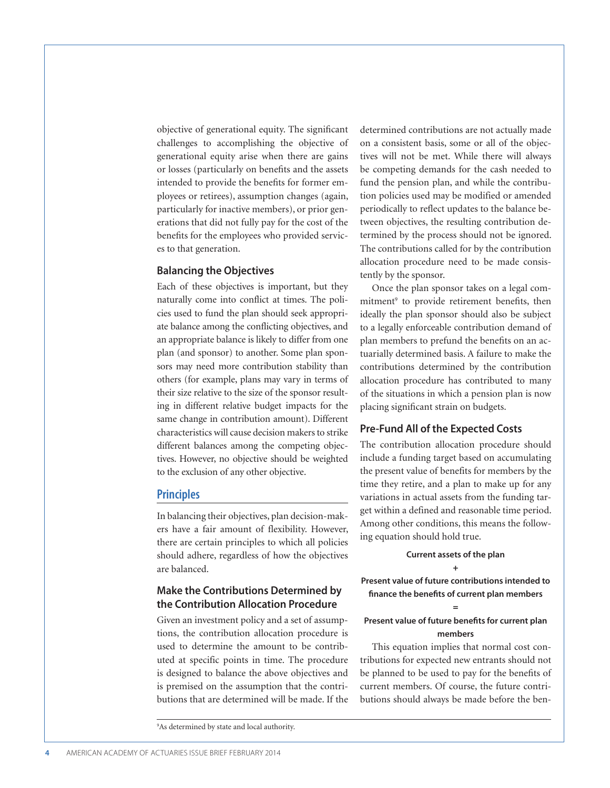objective of generational equity. The significant challenges to accomplishing the objective of generational equity arise when there are gains or losses (particularly on benefits and the assets intended to provide the benefits for former employees or retirees), assumption changes (again, particularly for inactive members), or prior generations that did not fully pay for the cost of the benefits for the employees who provided services to that generation.

#### **Balancing the Objectives**

Each of these objectives is important, but they naturally come into conflict at times. The policies used to fund the plan should seek appropriate balance among the conflicting objectives, and an appropriate balance is likely to differ from one plan (and sponsor) to another. Some plan sponsors may need more contribution stability than others (for example, plans may vary in terms of their size relative to the size of the sponsor resulting in different relative budget impacts for the same change in contribution amount). Different characteristics will cause decision makers to strike different balances among the competing objectives. However, no objective should be weighted to the exclusion of any other objective.

#### **Principles**

In balancing their objectives, plan decision-makers have a fair amount of flexibility. However, there are certain principles to which all policies should adhere, regardless of how the objectives are balanced.

# **Make the Contributions Determined by the Contribution Allocation Procedure**

Given an investment policy and a set of assumptions, the contribution allocation procedure is used to determine the amount to be contributed at specific points in time. The procedure is designed to balance the above objectives and is premised on the assumption that the contributions that are determined will be made. If the determined contributions are not actually made on a consistent basis, some or all of the objectives will not be met. While there will always be competing demands for the cash needed to fund the pension plan, and while the contribution policies used may be modified or amended periodically to reflect updates to the balance between objectives, the resulting contribution determined by the process should not be ignored. The contributions called for by the contribution allocation procedure need to be made consistently by the sponsor.

Once the plan sponsor takes on a legal commitment<sup>9</sup> to provide retirement benefits, then ideally the plan sponsor should also be subject to a legally enforceable contribution demand of plan members to prefund the benefits on an actuarially determined basis. A failure to make the contributions determined by the contribution allocation procedure has contributed to many of the situations in which a pension plan is now placing significant strain on budgets.

### **Pre-Fund All of the Expected Costs**

The contribution allocation procedure should include a funding target based on accumulating the present value of benefits for members by the time they retire, and a plan to make up for any variations in actual assets from the funding target within a defined and reasonable time period. Among other conditions, this means the following equation should hold true.

#### **Current assets of the plan +**

**Present value of future contributions intended to finance the benefits of current plan members**

#### **= Present value of future benefits for current plan members**

This equation implies that normal cost contributions for expected new entrants should not be planned to be used to pay for the benefits of current members. Of course, the future contributions should always be made before the ben-

<sup>9</sup> As determined by state and local authority.